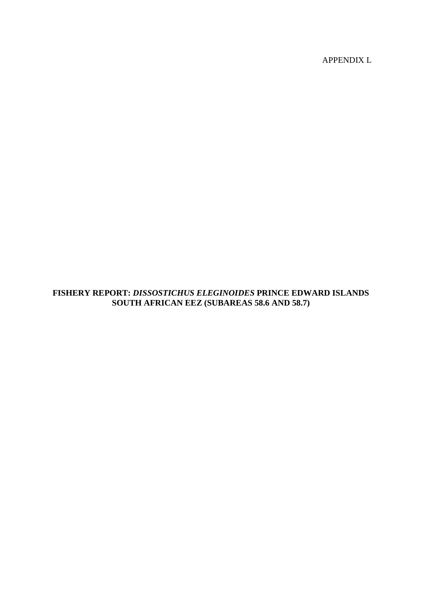APPENDIX L

# **FISHERY REPORT:** *DISSOSTICHUS ELEGINOIDES* **PRINCE EDWARD ISLANDS SOUTH AFRICAN EEZ (SUBAREAS 58.6 AND 58.7)**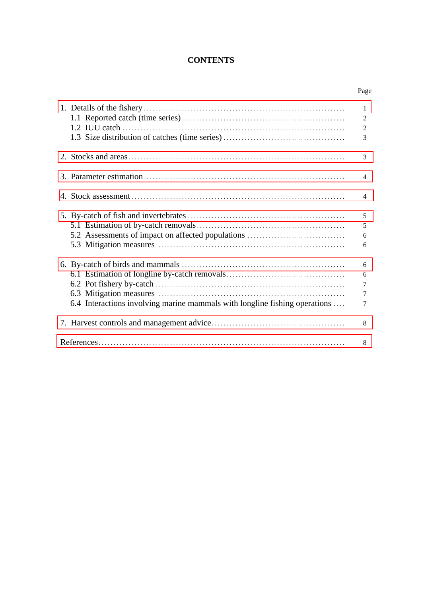# **CONTENTS**

Page

|                                                                            | 1<br>$\overline{2}$<br>$\overline{2}$<br>3           |
|----------------------------------------------------------------------------|------------------------------------------------------|
|                                                                            | 3                                                    |
|                                                                            | $\overline{4}$                                       |
|                                                                            | $\overline{4}$                                       |
| 5.2 Assessments of impact on affected populations                          | 5<br>5<br>6<br>6                                     |
| 6.4 Interactions involving marine mammals with longline fishing operations | 6<br>6<br>$\overline{7}$<br>$\overline{7}$<br>$\tau$ |
|                                                                            | 8                                                    |
|                                                                            | 8                                                    |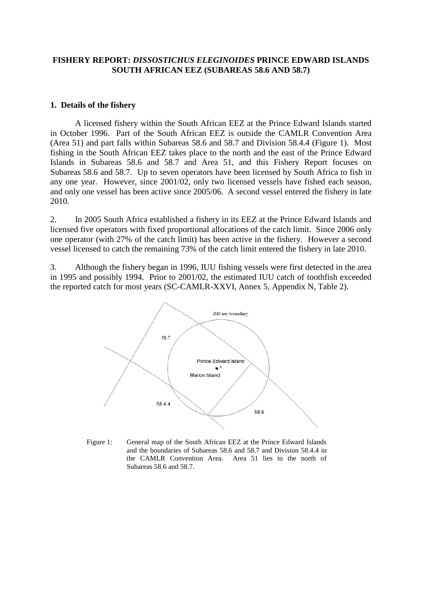# <span id="page-2-0"></span>**FISHERY REPORT:** *DISSOSTICHUS ELEGINOIDES* **PRINCE EDWARD ISLANDS SOUTH AFRICAN EEZ (SUBAREAS 58.6 AND 58.7)**

### **1. Details of the fishery**

A licensed fishery within the South African EEZ at the Prince Edward Islands started in October 1996. Part of the South African EEZ is outside the CAMLR Convention Area (Area 51) and part falls within Subareas 58.6 and 58.7 and Division 58.4.4 (Figure 1). Most fishing in the South African EEZ takes place to the north and the east of the Prince Edward Islands in Subareas 58.6 and 58.7 and Area 51, and this Fishery Report focuses on Subareas 58.6 and 58.7. Up to seven operators have been licensed by South Africa to fish in any one year. However, since 2001/02, only two licensed vessels have fished each season, and only one vessel has been active since 2005/06. A second vessel entered the fishery in late 2010.

2. In 2005 South Africa established a fishery in its EEZ at the Prince Edward Islands and licensed five operators with fixed proportional allocations of the catch limit. Since 2006 only one operator (with 27% of the catch limit) has been active in the fishery. However a second vessel licensed to catch the remaining 73% of the catch limit entered the fishery in late 2010.

3. Although the fishery began in 1996, IUU fishing vessels were first detected in the area in 1995 and possibly 1994. Prior to 2001/02, the estimated IUU catch of toothfish exceeded the reported catch for most years (SC-CAMLR-XXVI, Annex 5, Appendix N, Table 2).



Figure 1: General map of the South African EEZ at the Prince Edward Islands and the boundaries of Subareas 58.6 and 58.7 and Division 58.4.4 in the CAMLR Convention Area. Area 51 lies to the north of Subareas 58.6 and 58.7.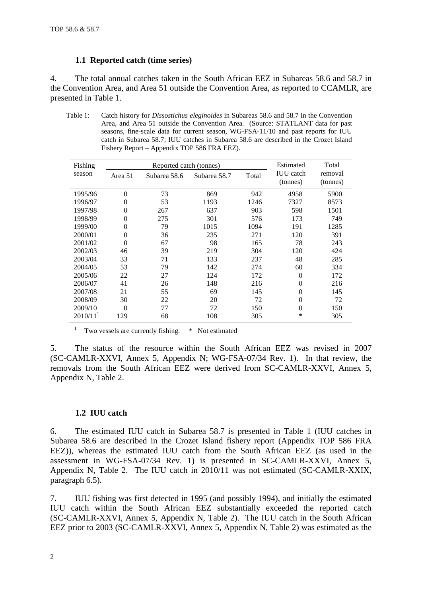# **1.1 Reported catch (time series)**

4. The total annual catches taken in the South African EEZ in Subareas 58.6 and 58.7 in the Convention Area, and Area 51 outside the Convention Area, as reported to CCAMLR, are presented in Table 1.

Table 1: Catch history for *Dissostichus eleginoides* in Subareas 58.6 and 58.7 in the Convention Area, and Area 51 outside the Convention Area. (Source: STATLANT data for past seasons, fine-scale data for current season, WG-FSA-11/10 and past reports for IUU catch in Subarea 58.7; IUU catches in Subarea 58.6 are described in the Crozet Island Fishery Report – Appendix TOP 586 FRA EEZ).

| Fishing                |          | Reported catch (tonnes) | Estimated    | Total |                              |                     |
|------------------------|----------|-------------------------|--------------|-------|------------------------------|---------------------|
| season                 | Area 51  | Subarea 58.6            | Subarea 58.7 | Total | <b>IUU</b> catch<br>(tonnes) | removal<br>(tonnes) |
| 1995/96                | $\Omega$ | 73                      | 869          | 942   | 4958                         | 5900                |
| 1996/97                | $\theta$ | 53                      | 1193         | 1246  | 7327                         | 8573                |
| 1997/98                | $\Omega$ | 267                     | 637          | 903   | 598                          | 1501                |
| 1998/99                | $\theta$ | 275                     | 301          | 576   | 173                          | 749                 |
| 1999/00                | $\theta$ | 79                      | 1015         | 1094  | 191                          | 1285                |
| 2000/01                | $\Omega$ | 36                      | 235          | 271   | 120                          | 391                 |
| 2001/02                | $\Omega$ | 67                      | 98           | 165   | 78                           | 243                 |
| 2002/03                | 46       | 39                      | 219          | 304   | 120                          | 424                 |
| 2003/04                | 33       | 71                      | 133          | 237   | 48                           | 285                 |
| 2004/05                | 53       | 79                      | 142          | 274   | 60                           | 334                 |
| 2005/06                | 22       | 27                      | 124          | 172   | $\theta$                     | 172                 |
| 2006/07                | 41       | 26                      | 148          | 216   | $\Omega$                     | 216                 |
| 2007/08                | 21       | 55                      | 69           | 145   | $\Omega$                     | 145                 |
| 2008/09                | 30       | 22                      | 20           | 72    | 0                            | 72                  |
| 2009/10                | $\Omega$ | 77                      | 72           | 150   | $\theta$                     | 150                 |
| $2010/11$ <sup>1</sup> | 129      | 68                      | 108          | 305   | *                            | 305                 |

<sup>1</sup> Two vessels are currently fishing.  $*$  Not estimated

5. The status of the resource within the South African EEZ was revised in 2007 (SC-CAMLR-XXVI, Annex 5, Appendix N; WG-FSA-07/34 Rev. 1). In that review, the removals from the South African EEZ were derived from SC-CAMLR-XXVI, Annex 5, Appendix N, Table 2.

# **1.2 IUU catch**

6. The estimated IUU catch in Subarea 58.7 is presented in Table 1 (IUU catches in Subarea 58.6 are described in the Crozet Island fishery report (Appendix TOP 586 FRA EEZ)), whereas the estimated IUU catch from the South African EEZ (as used in the assessment in WG-FSA-07/34 Rev. 1) is presented in SC-CAMLR-XXVI, Annex 5, Appendix N, Table 2. The IUU catch in 2010/11 was not estimated (SC-CAMLR-XXIX, paragraph 6.5).

7. IUU fishing was first detected in 1995 (and possibly 1994), and initially the estimated IUU catch within the South African EEZ substantially exceeded the reported catch (SC-CAMLR-XXVI, Annex 5, Appendix N, Table 2). The IUU catch in the South African EEZ prior to 2003 (SC-CAMLR-XXVI, Annex 5, Appendix N, Table 2) was estimated as the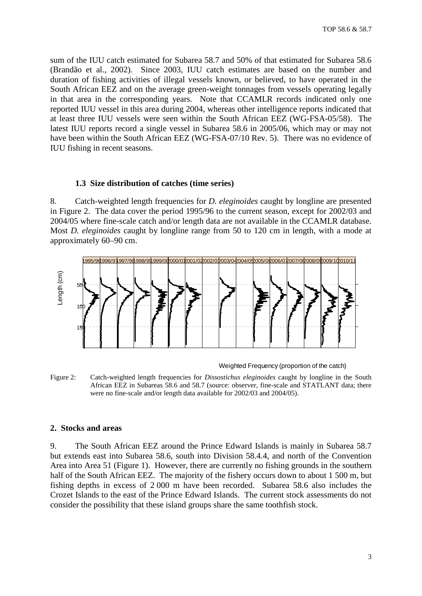<span id="page-4-0"></span>sum of the IUU catch estimated for Subarea 58.7 and 50% of that estimated for Subarea 58.6 (Brandão et al., 2002). Since 2003, IUU catch estimates are based on the number and duration of fishing activities of illegal vessels known, or believed, to have operated in the South African EEZ and on the average green-weight tonnages from vessels operating legally in that area in the corresponding years. Note that CCAMLR records indicated only one reported IUU vessel in this area during 2004, whereas other intelligence reports indicated that at least three IUU vessels were seen within the South African EEZ (WG-FSA-05/58). The latest IUU reports record a single vessel in Subarea 58.6 in 2005/06, which may or may not have been within the South African EEZ (WG-FSA-07/10 Rev. 5). There was no evidence of IUU fishing in recent seasons.

### **1.3 Size distribution of catches (time series)**

8. Catch-weighted length frequencies for *D. eleginoides* caught by longline are presented in Figure 2. The data cover the period 1995/96 to the current season, except for 2002/03 and 2004/05 where fine-scale catch and/or length data are not available in the CCAMLR database. Most *D. eleginoides* caught by longline range from 50 to 120 cm in length, with a mode at approximately 60–90 cm.



Weighted Frequency (proportion of the catch)

Figure 2: Catch-weighted length frequencies for *Dissostichus eleginoides* caught by longline in the South African EEZ in Subareas 58.6 and 58.7 (source: observer, fine-scale and STATLANT data; there were no fine-scale and/or length data available for 2002/03 and 2004/05).

#### **2. Stocks and areas**

9. The South African EEZ around the Prince Edward Islands is mainly in Subarea 58.7 but extends east into Subarea 58.6, south into Division 58.4.4, and north of the Convention Area into Area 51 (Figure 1). However, there are currently no fishing grounds in the southern half of the South African EEZ. The majority of the fishery occurs down to about 1 500 m, but fishing depths in excess of 2 000 m have been recorded. Subarea 58.6 also includes the Crozet Islands to the east of the Prince Edward Islands. The current stock assessments do not consider the possibility that these island groups share the same toothfish stock.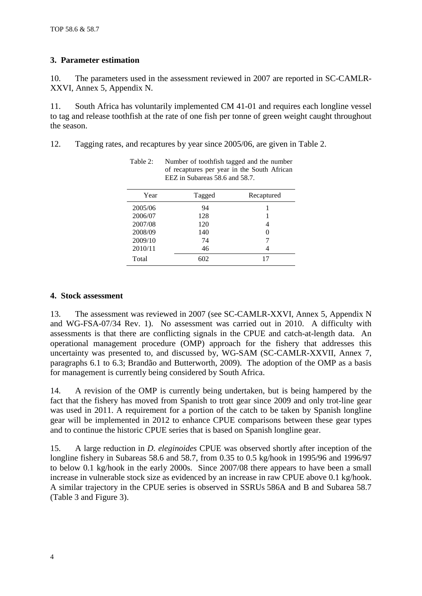# <span id="page-5-0"></span>**3. Parameter estimation**

10. The parameters used in the assessment reviewed in 2007 are reported in SC-CAMLR-XXVI, Annex 5, Appendix N.

11. South Africa has voluntarily implemented CM 41-01 and requires each longline vessel to tag and release toothfish at the rate of one fish per tonne of green weight caught throughout the season.

12. Tagging rates, and recaptures by year since 2005/06, are given in Table 2.

| Year    | Tagged | Recaptured       |
|---------|--------|------------------|
| 2005/06 | 94     |                  |
| 2006/07 | 128    |                  |
| 2007/08 | 120    | 4                |
| 2008/09 | 140    | $\left( \right)$ |
| 2009/10 | 74     | 7                |
| 2010/11 | 46     | 4                |
| Total   | 602    | 17               |

Table 2: Number of toothfish tagged and the number of recaptures per year in the South African EEZ in Subareas 58.6 and 58.7.

### **4. Stock assessment**

13. The assessment was reviewed in 2007 (see SC-CAMLR-XXVI, Annex 5, Appendix N and WG-FSA-07/34 Rev. 1). No assessment was carried out in 2010. A difficulty with assessments is that there are conflicting signals in the CPUE and catch-at-length data. An operational management procedure (OMP) approach for the fishery that addresses this uncertainty was presented to, and discussed by, WG-SAM (SC-CAMLR-XXVII, Annex 7, paragraphs 6.1 to 6.3; Brandão and Butterworth, 2009). The adoption of the OMP as a basis for management is currently being considered by South Africa.

14. A revision of the OMP is currently being undertaken, but is being hampered by the fact that the fishery has moved from Spanish to trott gear since 2009 and only trot-line gear was used in 2011. A requirement for a portion of the catch to be taken by Spanish longline gear will be implemented in 2012 to enhance CPUE comparisons between these gear types and to continue the historic CPUE series that is based on Spanish longline gear.

15. A large reduction in *D. eleginoides* CPUE was observed shortly after inception of the longline fishery in Subareas 58.6 and 58.7, from 0.35 to 0.5 kg/hook in 1995/96 and 1996/97 to below 0.1 kg/hook in the early 2000s. Since 2007/08 there appears to have been a small increase in vulnerable stock size as evidenced by an increase in raw CPUE above 0.1 kg/hook. A similar trajectory in the CPUE series is observed in SSRUs 586A and B and Subarea 58.7 (Table 3 and Figure 3).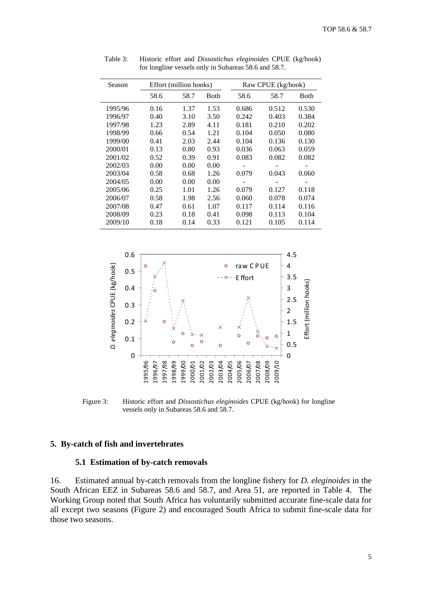| Season  |      | Effort (million hooks) |      |       | Raw CPUE (kg/hook) |             |  |  |
|---------|------|------------------------|------|-------|--------------------|-------------|--|--|
|         | 58.6 | 58.7                   | Both | 58.6  | 58.7               | <b>Both</b> |  |  |
| 1995/96 | 0.16 | 1.37                   | 1.53 | 0.686 | 0.512              | 0.530       |  |  |
| 1996/97 | 0.40 | 3.10                   | 3.50 | 0.242 | 0.403              | 0.384       |  |  |
| 1997/98 | 1.23 | 2.89                   | 4.11 | 0.181 | 0.210              | 0.202       |  |  |
| 1998/99 | 0.66 | 0.54                   | 1.21 | 0.104 | 0.050              | 0.080       |  |  |
| 1999/00 | 0.41 | 2.03                   | 2.44 | 0.104 | 0.136              | 0.130       |  |  |
| 2000/01 | 0.13 | 0.80                   | 0.93 | 0.036 | 0.063              | 0.059       |  |  |
| 2001/02 | 0.52 | 0.39                   | 0.91 | 0.083 | 0.082              | 0.082       |  |  |
| 2002/03 | 0.00 | 0.00                   | 0.00 |       |                    |             |  |  |
| 2003/04 | 0.58 | 0.68                   | 1.26 | 0.079 | 0.043              | 0.060       |  |  |
| 2004/05 | 0.00 | 0.00                   | 0.00 |       |                    |             |  |  |
| 2005/06 | 0.25 | 1.01                   | 1.26 | 0.079 | 0.127              | 0.118       |  |  |
| 2006/07 | 0.58 | 1.98                   | 2.56 | 0.060 | 0.078              | 0.074       |  |  |
| 2007/08 | 0.47 | 0.61                   | 1.07 | 0.117 | 0.114              | 0.116       |  |  |
| 2008/09 | 0.23 | 0.18                   | 0.41 | 0.098 | 0.113              | 0.104       |  |  |
| 2009/10 | 0.18 | 0.14                   | 0.33 | 0.121 | 0.105              | 0.114       |  |  |

<span id="page-6-0"></span>Table 3: Historic effort and *Dissostichus eleginoides* CPUE (kg/hook) for longline vessels only in Subareas 58.6 and 58.7.



Figure 3: Historic effort and *Dissostichus eleginoides* CPUE (kg/hook) for longline vessels only in Subareas 58.6 and 58.7.

### **5. By-catch of fish and invertebrates**

#### **5.1 Estimation of by-catch removals**

16. Estimated annual by-catch removals from the longline fishery for *D. eleginoides* in the South African EEZ in Subareas 58.6 and 58.7, and Area 51, are reported in Table 4. The Working Group noted that South Africa has voluntarily submitted accurate fine-scale data for all except two seasons (Figure 2) and encouraged South Africa to submit fine-scale data for those two seasons.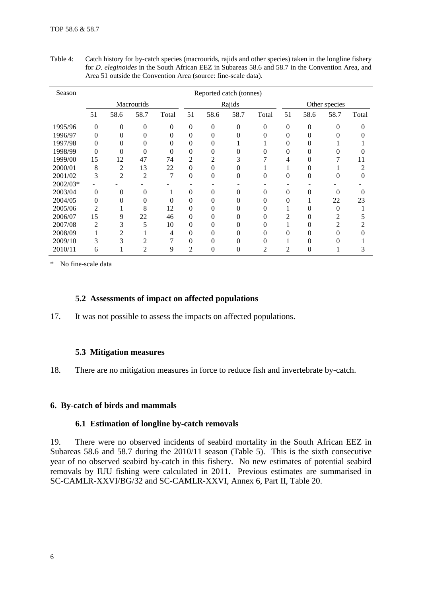| Season   |                  |                |                |          |                  | Reported catch (tonnes) |               |          |          |          |      |       |
|----------|------------------|----------------|----------------|----------|------------------|-------------------------|---------------|----------|----------|----------|------|-------|
|          | Macrourids       |                |                | Rajids   |                  |                         | Other species |          |          |          |      |       |
|          | 51               | 58.6           | 58.7           | Total    | 51               | 58.6                    | 58.7          | Total    | 51       | 58.6     | 58.7 | Total |
| 1995/96  | $\boldsymbol{0}$ | $\overline{0}$ | $\Omega$       | 0        | $\boldsymbol{0}$ | $\theta$                | $\Omega$      | $\theta$ | $\theta$ | $\theta$ | 0    |       |
| 1996/97  | 0                | 0              |                | 0        | $\overline{0}$   | 0                       |               |          | 0        | 0        |      |       |
| 1997/98  | 0                | 0              |                | 0        | $\overline{0}$   | 0                       |               |          | 0        | 0        |      |       |
| 1998/99  | $\overline{0}$   | 0              | 0              | $\theta$ | $\overline{0}$   | 0                       |               |          | 0        | 0        |      |       |
| 1999/00  | 15               | 12             | 47             | 74       | $\overline{c}$   | 2                       | 3             |          |          | 0        |      | 11    |
| 2000/01  | 8                | 2              | 13             | 22       | $\overline{0}$   | 0                       |               |          |          | 0        |      | ∍     |
| 2001/02  | 3                | 2              | $\overline{c}$ | 7        | $\overline{0}$   | 0                       | 0             | 0        | 0        | 0        | 0    |       |
| 2002/03* |                  |                |                |          |                  |                         |               |          |          |          |      |       |
| 2003/04  | $\theta$         | $\Omega$       | 0              |          | $\theta$         | 0                       | 0             | 0        | 0        | 0        | 0    |       |
| 2004/05  | $\overline{0}$   | 0              | 0              | 0        | $\overline{0}$   | 0                       | 0             |          | 0        |          | 22   | 23    |
| 2005/06  | 2                |                | 8              | 12       | $\overline{0}$   | 0                       |               |          |          | 0        | 0    |       |
| 2006/07  | 15               | 9              | 22             | 46       | $\boldsymbol{0}$ | 0                       | 0             |          | 2        | 0        |      |       |
| 2007/08  | 2                | 3              | 5              | 10       | $\overline{0}$   | 0                       |               |          |          | 0        | 2    |       |
| 2008/09  |                  |                |                | 4        | $\overline{0}$   |                         |               |          | 0        | 0        |      |       |
| 2009/10  | 3                | 3              | C              |          | $\theta$         | 0                       | 0             |          |          |          |      |       |
| 2010/11  | 6                |                | $\overline{c}$ | 9        | $\overline{2}$   | 0                       | 0             | 2        | 2        | 0        |      |       |

<span id="page-7-0"></span>Table 4: Catch history for by-catch species (macrourids, rajids and other species) taken in the longline fishery for *D. eleginoides* in the South African EEZ in Subareas 58.6 and 58.7 in the Convention Area, and Area 51 outside the Convention Area (source: fine-scale data).

\* No fine-scale data

# **5.2 Assessments of impact on affected populations**

17. It was not possible to assess the impacts on affected populations.

# **5.3 Mitigation measures**

18. There are no mitigation measures in force to reduce fish and invertebrate by-catch.

# **6. By-catch of birds and mammals**

### **6.1 Estimation of longline by-catch removals**

19. There were no observed incidents of seabird mortality in the South African EEZ in Subareas 58.6 and 58.7 during the 2010/11 season (Table 5). This is the sixth consecutive year of no observed seabird by-catch in this fishery. No new estimates of potential seabird removals by IUU fishing were calculated in 2011. Previous estimates are summarised in SC-CAMLR-XXVI/BG/32 and SC-CAMLR-XXVI, Annex 6, Part II, Table 20.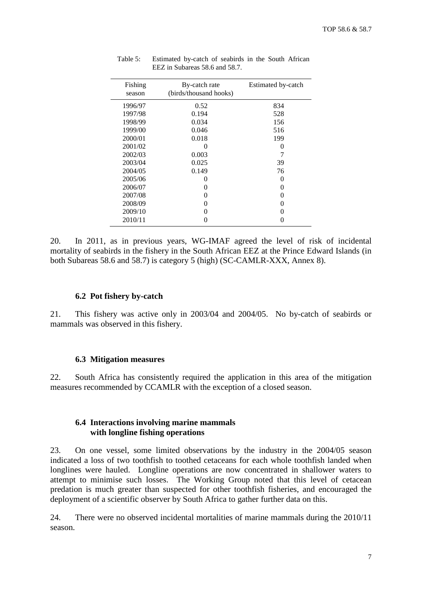| Fishing<br>season | By-catch rate<br>(birds/thousand hooks) | Estimated by-catch |
|-------------------|-----------------------------------------|--------------------|
| 1996/97           | 0.52                                    | 834                |
| 1997/98           | 0.194                                   | 528                |
| 1998/99           | 0.034                                   | 156                |
| 1999/00           | 0.046                                   | 516                |
| 2000/01           | 0.018                                   | 199                |
| 2001/02           | 0                                       | $\theta$           |
| 2002/03           | 0.003                                   |                    |
| 2003/04           | 0.025                                   | 39                 |
| 2004/05           | 0.149                                   | 76                 |
| 2005/06           | 0                                       | $\theta$           |
| 2006/07           | 0                                       | $\theta$           |
| 2007/08           | $\mathbf{\Omega}$                       | $\theta$           |
| 2008/09           | 0                                       | $\theta$           |
| 2009/10           |                                         | 0                  |
| 2010/11           |                                         | 0                  |

Table 5: Estimated by-catch of seabirds in the South African EEZ in Subareas 58.6 and 58.7.

20. In 2011, as in previous years, WG-IMAF agreed the level of risk of incidental mortality of seabirds in the fishery in the South African EEZ at the Prince Edward Islands (in both Subareas 58.6 and 58.7) is category 5 (high) (SC-CAMLR-XXX, Annex 8).

### **6.2 Pot fishery by-catch**

21. This fishery was active only in 2003/04 and 2004/05. No by-catch of seabirds or mammals was observed in this fishery.

#### **6.3 Mitigation measures**

22. South Africa has consistently required the application in this area of the mitigation measures recommended by CCAMLR with the exception of a closed season.

# **6.4 Interactions involving marine mammals with longline fishing operations**

23. On one vessel, some limited observations by the industry in the 2004/05 season indicated a loss of two toothfish to toothed cetaceans for each whole toothfish landed when longlines were hauled. Longline operations are now concentrated in shallower waters to attempt to minimise such losses. The Working Group noted that this level of cetacean predation is much greater than suspected for other toothfish fisheries, and encouraged the deployment of a scientific observer by South Africa to gather further data on this.

24. There were no observed incidental mortalities of marine mammals during the 2010/11 season.